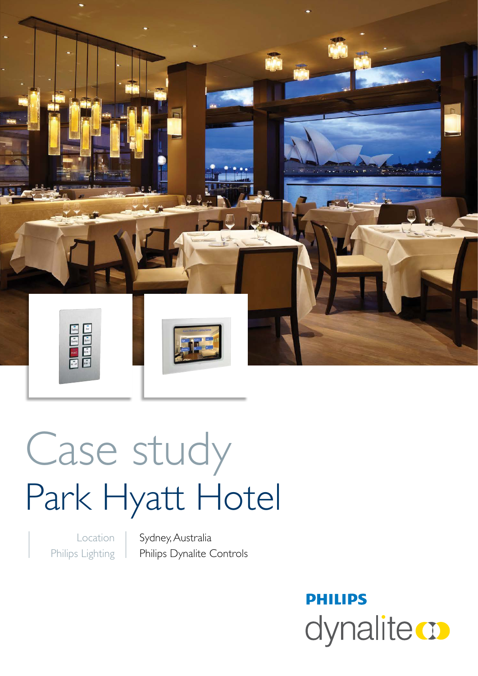

# Case study Park Hyatt Hotel

Location Philips Lighting Sydney, Australia Philips Dynalite Controls

> **PHILIPS** dynalitect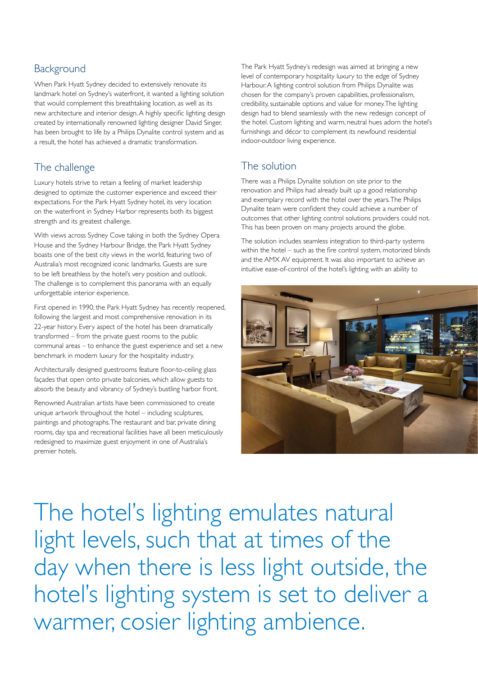# **Background**

When Park Hyatt Sydney decided to extensively renovate its landmark hotel on Sydney's waterfront, it wanted a lighting solution that would complement this breathtaking location, as well as its new architecture and interior design. A highly specific lighting design created by internationally renowned lighting designer David Singer, has been brought to life by a Philips Dynalite control system and as a result, the hotel has achieved a dramatic transformation.

### The challenge

Luxury hotels strive to retain a feeling of market leadership designed to optimize the customer experience and exceed their expectations. For the Park Hyatt Sydney hotel, its very location on the waterfront in Sydney Harbor represents both its biggest strength and its greatest challenge.

With views across Sydney Cove taking in both the Sydney Opera House and the Sydney Harbour Bridge, the Park Hyatt Sydney boasts one of the best city views in the world, featuring two of Australia's most recognized iconic landmarks. Guests are sure to be left breathless by the hotel's very position and outlook. The challenge is to complement this panorama with an equally unforgettable interior experience.

First opened in 1990, the Park Hyatt Sydney has recently reopened, following the largest and most comprehensive renovation in its 22-year history. Every aspect of the hotel has been dramatically transformed – from the private guest rooms to the public communal areas – to enhance the guest experience and set a new benchmark in modern luxury for the hospitality industry.

Architecturally designed guestrooms feature floor-to-ceiling glass façades that open onto private balconies, which allow guests to absorb the beauty and vibrancy of Sydney's bustling harbor front.

Renowned Australian artists have been commissioned to create unique artwork throughout the hotel – including sculptures, paintings and photographs. The restaurant and bar, private dining rooms, day spa and recreational facilities have all been meticulously redesigned to maximize guest enjoyment in one of Australia's premier hotels.

The Park Hyatt Sydney's redesign was aimed at bringing a new level of contemporary hospitality luxury to the edge of Sydney Harbour. A lighting control solution from Philips Dynalite was chosen for the company's proven capabilities, professionalism, credibility, sustainable options and value for money. The lighting design had to blend seamlessly with the new redesign concept of the hotel. Custom lighting and warm, neutral hues adorn the hotel's furnishings and décor to complement its newfound residential indoor-outdoor living experience.

## The solution

There was a Philips Dynalite solution on site prior to the renovation and Philips had already built up a good relationship and exemplary record with the hotel over the years. The Philips Dynalite team were confident they could achieve a number of outcomes that other lighting control solutions providers could not. This has been proven on many projects around the globe.

The solution includes seamless integration to third-party systems within the hotel – such as the fire control system, motorized blinds and the AMX AV equipment. It was also important to achieve an intuitive ease-of-control of the hotel's lighting with an ability to



The hotel's lighting emulates natural light levels, such that at times of the day when there is less light outside, the hotel's lighting system is set to deliver a warmer, cosier lighting ambience.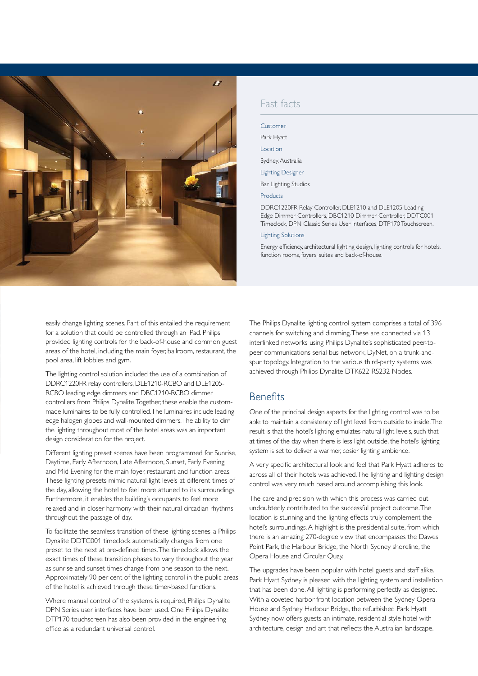

#### Fast facts

| Customer                                                                                                                                                                                      |
|-----------------------------------------------------------------------------------------------------------------------------------------------------------------------------------------------|
| Park Hyatt                                                                                                                                                                                    |
| Location                                                                                                                                                                                      |
| Sydney, Australia                                                                                                                                                                             |
| <b>Lighting Designer</b>                                                                                                                                                                      |
| Bar Lighting Studios                                                                                                                                                                          |
| Products                                                                                                                                                                                      |
| DDRC1220FR Relay Controller, DLE1210 and DLE1205 Leading<br>Edge Dimmer Controllers, DBC1210 Dimmer Controller, DDTC001<br>Timeclock, DPN Classic Series User Interfaces, DTP170 Touchscreen. |
| <b>Lighting Solutions</b>                                                                                                                                                                     |
| Energy efficiency, architectural lighting design, lighting controls for hotels,                                                                                                               |

function rooms, foyers, suites and back-of-house.

easily change lighting scenes. Part of this entailed the requirement for a solution that could be controlled through an iPad. Philips provided lighting controls for the back-of-house and common guest areas of the hotel, including the main foyer, ballroom, restaurant, the pool area, lift lobbies and gym.

The lighting control solution included the use of a combination of DDRC1220FR relay controllers, DLE1210-RCBO and DLE1205- RCBO leading edge dimmers and DBC1210-RCBO dimmer controllers from Philips Dynalite. Together, these enable the custommade luminaires to be fully controlled. The luminaires include leading edge halogen globes and wall-mounted dimmers. The ability to dim the lighting throughout most of the hotel areas was an important design consideration for the project.

Different lighting preset scenes have been programmed for Sunrise, Daytime, Early Afternoon, Late Afternoon, Sunset, Early Evening and Mid Evening for the main foyer, restaurant and function areas. These lighting presets mimic natural light levels at different times of the day, allowing the hotel to feel more attuned to its surroundings. Furthermore, it enables the building's occupants to feel more relaxed and in closer harmony with their natural circadian rhythms throughout the passage of day.

To facilitate the seamless transition of these lighting scenes, a Philips Dynalite DDTC001 timeclock automatically changes from one preset to the next at pre-defined times. The timeclock allows the exact times of these transition phases to vary throughout the year as sunrise and sunset times change from one season to the next. Approximately 90 per cent of the lighting control in the public areas of the hotel is achieved through these timer-based functions.

Where manual control of the systems is required, Philips Dynalite DPN Series user interfaces have been used. One Philips Dynalite DTP170 touchscreen has also been provided in the engineering office as a redundant universal control.

The Philips Dynalite lighting control system comprises a total of 396 channels for switching and dimming. These are connected via 13 interlinked networks using Philips Dynalite's sophisticated peer-topeer communications serial bus network, DyNet, on a trunk-andspur topology. Integration to the various third-party systems was achieved through Philips Dynalite DTK622-RS232 Nodes.

#### **Benefits**

One of the principal design aspects for the lighting control was to be able to maintain a consistency of light level from outside to inside. The result is that the hotel's lighting emulates natural light levels, such that at times of the day when there is less light outside, the hotel's lighting system is set to deliver a warmer, cosier lighting ambience.

A very specific architectural look and feel that Park Hyatt adheres to across all of their hotels was achieved. The lighting and lighting design control was very much based around accomplishing this look.

The care and precision with which this process was carried out undoubtedly contributed to the successful project outcome. The location is stunning and the lighting effects truly complement the hotel's surroundings. A highlight is the presidential suite, from which there is an amazing 270-degree view that encompasses the Dawes Point Park, the Harbour Bridge, the North Sydney shoreline, the Opera House and Circular Quay.

The upgrades have been popular with hotel guests and staff alike. Park Hyatt Sydney is pleased with the lighting system and installation that has been done. All lighting is performing perfectly as designed. With a coveted harbor-front location between the Sydney Opera House and Sydney Harbour Bridge, the refurbished Park Hyatt Sydney now offers guests an intimate, residential-style hotel with architecture, design and art that reflects the Australian landscape.